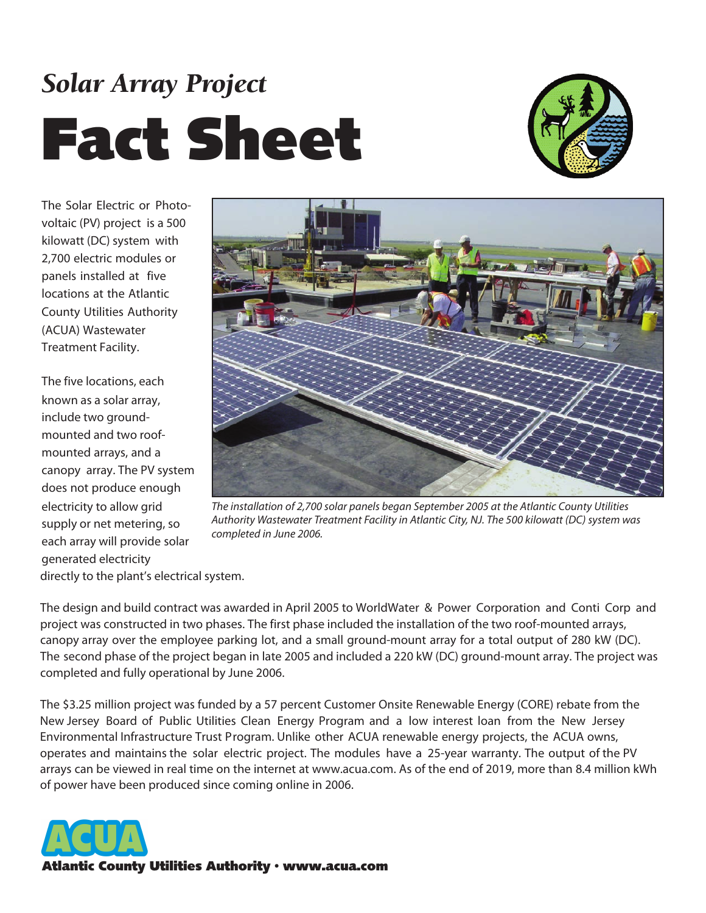## *Solar Array Project* **Fact Sheet**



The Solar Electric or Photovoltaic (PV) project is a 500 kilowatt (DC) system with 2,700 electric modules or panels installed at five locations at the Atlantic County Utilities Authority (ACUA) Wastewater Treatment Facility.

The five locations, each known as a solar array, include two groundmounted and two roofmounted arrays, and a canopy array. The PV system does not produce enough electricity to allow grid supply or net metering, so each array will provide solar generated electricity



*The installation of 2,700 solar panels began September 2005 at the Atlantic County Utilities Authority Wastewater Treatment Facility in Atlantic City, NJ. The 500 kilowatt (DC) system was completed in June 2006.* 

directly to the plant's electrical system.

The design and build contract was awarded in April 2005 to WorldWater & Power Corporation and Conti Corp and project was constructed in two phases. The first phase included the installation of the two roof-mounted arrays, canopy array over the employee parking lot, and a small ground-mount array for a total output of 280 kW (DC). The second phase of the project began in late 2005 and included a 220 kW (DC) ground-mount array. The project was completed and fully operational by June 2006.

The \$3.25 million project was funded by a 57 percent Customer Onsite Renewable Energy (CORE) rebate from the New Jersey Board of Public Utilities Clean Energy Program and a low interest loan from the New Jersey Environmental Infrastructure Trust Program. Unlike other ACUA renewable energy projects, the ACUA owns, operates and maintains the solar electric project. The modules have a 25-year warranty. The output of the PV arrays can be viewed in real time on the internet at www.acua.com. As of the end of 2019, more than 8.4 million kWh of power have been produced since coming online in 2006.



**Atlantic County Utilities Authority • www.acua.com**